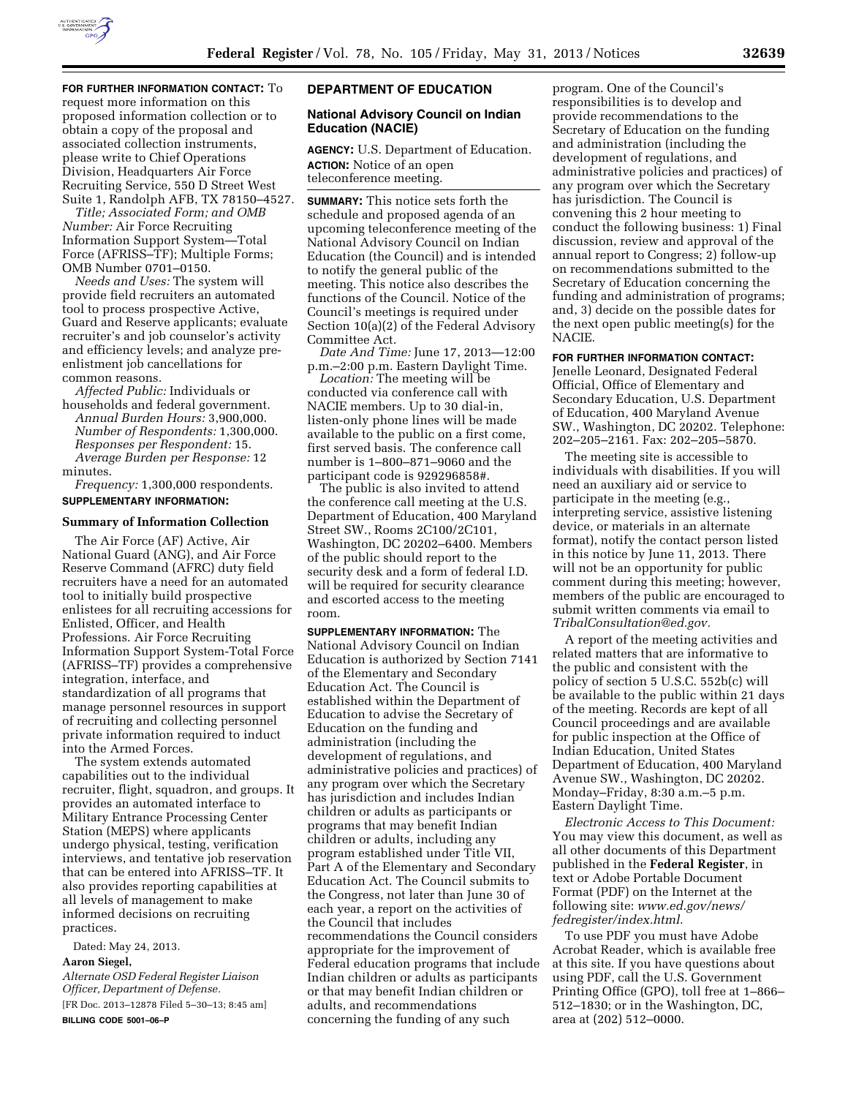

**FOR FURTHER INFORMATION CONTACT:** To request more information on this proposed information collection or to obtain a copy of the proposal and associated collection instruments, please write to Chief Operations Division, Headquarters Air Force Recruiting Service, 550 D Street West Suite 1, Randolph AFB, TX 78150–4527.

*Title; Associated Form; and OMB Number:* Air Force Recruiting Information Support System—Total Force (AFRISS–TF); Multiple Forms; OMB Number 0701–0150.

*Needs and Uses:* The system will provide field recruiters an automated tool to process prospective Active, Guard and Reserve applicants; evaluate recruiter's and job counselor's activity and efficiency levels; and analyze preenlistment job cancellations for common reasons.

*Affected Public:* Individuals or households and federal government. *Annual Burden Hours:* 3,900,000. *Number of Respondents:* 1,300,000. *Responses per Respondent:* 15. *Average Burden per Response:* 12 minutes.

*Frequency:* 1,300,000 respondents. **SUPPLEMENTARY INFORMATION:** 

#### **Summary of Information Collection**

The Air Force (AF) Active, Air National Guard (ANG), and Air Force Reserve Command (AFRC) duty field recruiters have a need for an automated tool to initially build prospective enlistees for all recruiting accessions for Enlisted, Officer, and Health Professions. Air Force Recruiting Information Support System-Total Force (AFRISS–TF) provides a comprehensive integration, interface, and standardization of all programs that manage personnel resources in support of recruiting and collecting personnel private information required to induct into the Armed Forces.

The system extends automated capabilities out to the individual recruiter, flight, squadron, and groups. It provides an automated interface to Military Entrance Processing Center Station (MEPS) where applicants undergo physical, testing, verification interviews, and tentative job reservation that can be entered into AFRISS–TF. It also provides reporting capabilities at all levels of management to make informed decisions on recruiting practices.

Dated: May 24, 2013.

# **Aaron Siegel,**

*Alternate OSD Federal Register Liaison Officer, Department of Defense.*  [FR Doc. 2013–12878 Filed 5–30–13; 8:45 am] **BILLING CODE 5001–06–P** 

# **DEPARTMENT OF EDUCATION**

# **National Advisory Council on Indian Education (NACIE)**

**AGENCY:** U.S. Department of Education. **ACTION:** Notice of an open teleconference meeting.

**SUMMARY:** This notice sets forth the schedule and proposed agenda of an upcoming teleconference meeting of the National Advisory Council on Indian Education (the Council) and is intended to notify the general public of the meeting. This notice also describes the functions of the Council. Notice of the Council's meetings is required under Section 10(a)(2) of the Federal Advisory Committee Act.

*Date And Time:* June 17, 2013—12:00 p.m.–2:00 p.m. Eastern Daylight Time.

*Location:* The meeting will be conducted via conference call with NACIE members. Up to 30 dial-in, listen-only phone lines will be made available to the public on a first come, first served basis. The conference call number is 1–800–871–9060 and the participant code is 929296858#.

The public is also invited to attend the conference call meeting at the U.S. Department of Education, 400 Maryland Street SW., Rooms 2C100/2C101, Washington, DC 20202–6400. Members of the public should report to the security desk and a form of federal I.D. will be required for security clearance and escorted access to the meeting room.

**SUPPLEMENTARY INFORMATION:** The National Advisory Council on Indian Education is authorized by Section 7141 of the Elementary and Secondary Education Act. The Council is established within the Department of Education to advise the Secretary of Education on the funding and administration (including the development of regulations, and administrative policies and practices) of any program over which the Secretary has jurisdiction and includes Indian children or adults as participants or programs that may benefit Indian children or adults, including any program established under Title VII, Part A of the Elementary and Secondary Education Act. The Council submits to the Congress, not later than June 30 of each year, a report on the activities of the Council that includes recommendations the Council considers appropriate for the improvement of Federal education programs that include Indian children or adults as participants or that may benefit Indian children or adults, and recommendations concerning the funding of any such

program. One of the Council's responsibilities is to develop and provide recommendations to the Secretary of Education on the funding and administration (including the development of regulations, and administrative policies and practices) of any program over which the Secretary has jurisdiction. The Council is convening this 2 hour meeting to conduct the following business: 1) Final discussion, review and approval of the annual report to Congress; 2) follow-up on recommendations submitted to the Secretary of Education concerning the funding and administration of programs; and, 3) decide on the possible dates for the next open public meeting(s) for the NACIE.

#### **FOR FURTHER INFORMATION CONTACT:**

Jenelle Leonard, Designated Federal Official, Office of Elementary and Secondary Education, U.S. Department of Education, 400 Maryland Avenue SW., Washington, DC 20202. Telephone: 202–205–2161. Fax: 202–205–5870.

The meeting site is accessible to individuals with disabilities. If you will need an auxiliary aid or service to participate in the meeting (e.g., interpreting service, assistive listening device, or materials in an alternate format), notify the contact person listed in this notice by June 11, 2013. There will not be an opportunity for public comment during this meeting; however, members of the public are encouraged to submit written comments via email to *TribalConsultation@ed.gov.* 

A report of the meeting activities and related matters that are informative to the public and consistent with the policy of section 5 U.S.C. 552b(c) will be available to the public within 21 days of the meeting. Records are kept of all Council proceedings and are available for public inspection at the Office of Indian Education, United States Department of Education, 400 Maryland Avenue SW., Washington, DC 20202. Monday–Friday, 8:30 a.m.–5 p.m. Eastern Daylight Time.

*Electronic Access to This Document:*  You may view this document, as well as all other documents of this Department published in the **Federal Register**, in text or Adobe Portable Document Format (PDF) on the Internet at the following site: *www.ed.gov/news/ fedregister/index.html.* 

To use PDF you must have Adobe Acrobat Reader, which is available free at this site. If you have questions about using PDF, call the U.S. Government Printing Office (GPO), toll free at 1–866– 512–1830; or in the Washington, DC, area at (202) 512–0000.